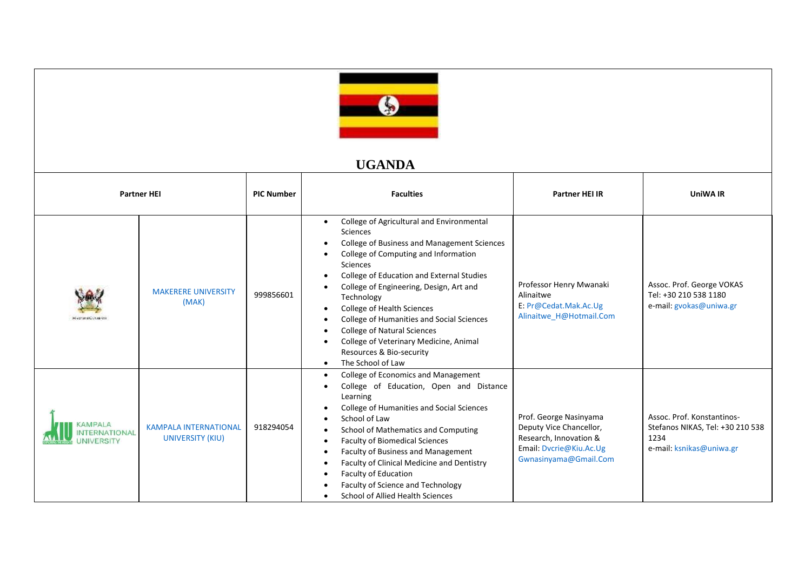

## **UGANDA**

| <b>Partner HEI</b>                         |                                                  | <b>PIC Number</b> | <b>Faculties</b>                                                                                                                                                                                                                                                                                                                                                                                                                                                                                                                            | <b>Partner HEI IR</b>                                                                                                           | UniWA IR                                                                                           |
|--------------------------------------------|--------------------------------------------------|-------------------|---------------------------------------------------------------------------------------------------------------------------------------------------------------------------------------------------------------------------------------------------------------------------------------------------------------------------------------------------------------------------------------------------------------------------------------------------------------------------------------------------------------------------------------------|---------------------------------------------------------------------------------------------------------------------------------|----------------------------------------------------------------------------------------------------|
| Hydrana Cyklaine                           | <b>MAKERERE UNIVERSITY</b><br>(MAK)              | 999856601         | College of Agricultural and Environmental<br>$\bullet$<br>Sciences<br>College of Business and Management Sciences<br>College of Computing and Information<br>Sciences<br>College of Education and External Studies<br>College of Engineering, Design, Art and<br>Technology<br>College of Health Sciences<br>$\bullet$<br>College of Humanities and Social Sciences<br><b>College of Natural Sciences</b><br>$\bullet$<br>College of Veterinary Medicine, Animal<br>$\bullet$<br>Resources & Bio-security<br>The School of Law<br>$\bullet$ | Professor Henry Mwanaki<br>Alinaitwe<br>E: Pr@Cedat.Mak.Ac.Ug<br>Alinaitwe H@Hotmail.Com                                        | Assoc. Prof. George VOKAS<br>Tel: +30 210 538 1180<br>e-mail: gvokas@uniwa.gr                      |
| KAMPALA<br>ERNATIONAL<br><b>INIVERSITY</b> | <b>KAMPALA INTERNATIONAL</b><br>UNIVERSITY (KIU) | 918294054         | College of Economics and Management<br>$\bullet$<br>College of Education, Open and Distance<br>$\bullet$<br>Learning<br>College of Humanities and Social Sciences<br>School of Law<br>School of Mathematics and Computing<br>$\bullet$<br><b>Faculty of Biomedical Sciences</b><br>$\bullet$<br>Faculty of Business and Management<br>$\bullet$<br>Faculty of Clinical Medicine and Dentistry<br>$\bullet$<br>Faculty of Education<br>$\bullet$<br>Faculty of Science and Technology<br>School of Allied Health Sciences                    | Prof. George Nasinyama<br>Deputy Vice Chancellor,<br>Research, Innovation &<br>Email: Dvcrie@Kiu.Ac.Ug<br>Gwnasinyama@Gmail.Com | Assoc. Prof. Konstantinos-<br>Stefanos NIKAS, Tel: +30 210 538<br>1234<br>e-mail: ksnikas@uniwa.gr |